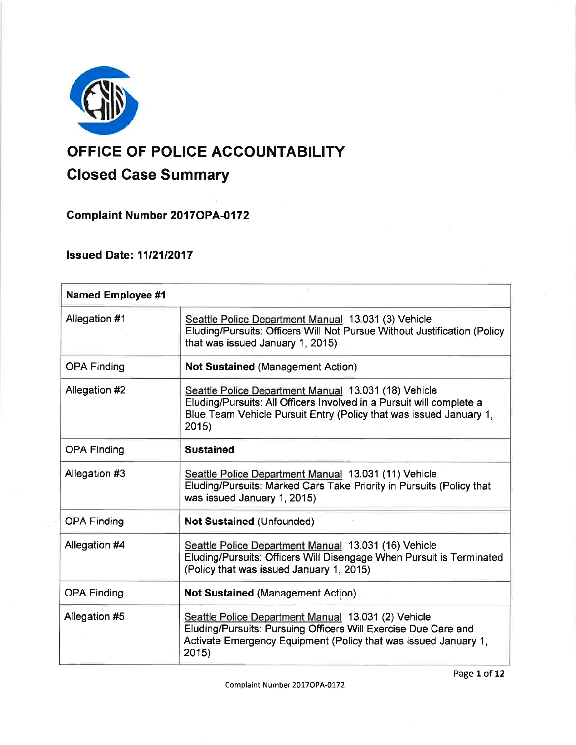

# OFFICE OF POLICE ACCOUNTABILITY

# Closed Gase Summary

**Complaint Number 2017 OPA-0172** 

## lssued Date: 1112112017

| <b>Named Employee #1</b> |                                                                                                                                                                                                            |
|--------------------------|------------------------------------------------------------------------------------------------------------------------------------------------------------------------------------------------------------|
| Allegation #1            | Seattle Police Department Manual 13.031 (3) Vehicle<br>Eluding/Pursuits: Officers Will Not Pursue Without Justification (Policy<br>that was issued January 1, 2015)                                        |
| <b>OPA Finding</b>       | <b>Not Sustained (Management Action)</b>                                                                                                                                                                   |
| Allegation #2            | Seattle Police Department Manual 13.031 (18) Vehicle<br>Eluding/Pursuits: All Officers Involved in a Pursuit will complete a<br>Blue Team Vehicle Pursuit Entry (Policy that was issued January 1,<br>2015 |
| <b>OPA Finding</b>       | <b>Sustained</b>                                                                                                                                                                                           |
| Allegation #3            | Seattle Police Department Manual 13.031 (11) Vehicle<br>Eluding/Pursuits: Marked Cars Take Priority in Pursuits (Policy that<br>was issued January 1, 2015)                                                |
| <b>OPA Finding</b>       | <b>Not Sustained (Unfounded)</b>                                                                                                                                                                           |
| Allegation #4            | Seattle Police Department Manual 13.031 (16) Vehicle<br>Eluding/Pursuits: Officers Will Disengage When Pursuit is Terminated<br>(Policy that was issued January 1, 2015)                                   |
| <b>OPA Finding</b>       | <b>Not Sustained (Management Action)</b>                                                                                                                                                                   |
| Allegation #5            | Seattle Police Department Manual 13.031 (2) Vehicle<br>Eluding/Pursuits: Pursuing Officers Will Exercise Due Care and<br>Activate Emergency Equipment (Policy that was issued January 1,<br>2015)          |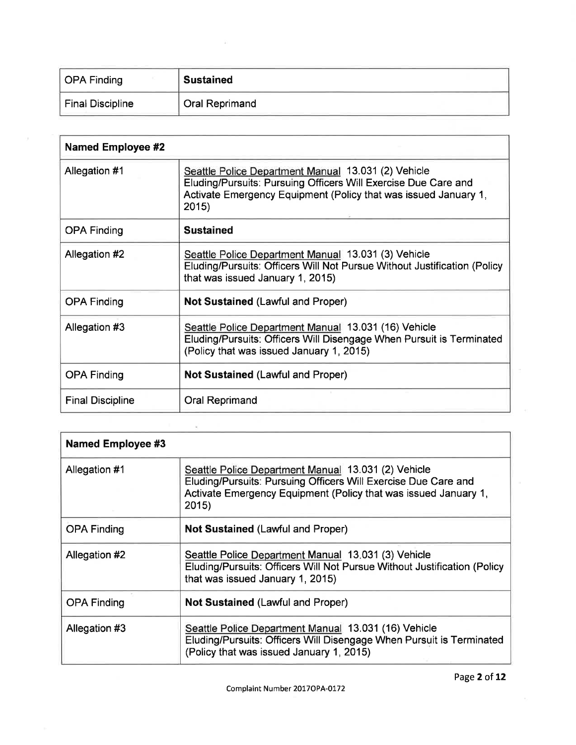| <b>OPA Finding</b> | <b>Sustained</b>      |
|--------------------|-----------------------|
| Final Discipline   | <b>Oral Reprimand</b> |

| <b>Named Employee #2</b> |                                                                                                                                                                                                   |
|--------------------------|---------------------------------------------------------------------------------------------------------------------------------------------------------------------------------------------------|
| Allegation #1            | Seattle Police Department Manual 13.031 (2) Vehicle<br>Eluding/Pursuits: Pursuing Officers Will Exercise Due Care and<br>Activate Emergency Equipment (Policy that was issued January 1,<br>2015) |
| <b>OPA Finding</b>       | <b>Sustained</b>                                                                                                                                                                                  |
| Allegation #2            | Seattle Police Department Manual 13.031 (3) Vehicle<br>Eluding/Pursuits: Officers Will Not Pursue Without Justification (Policy<br>that was issued January 1, 2015)                               |
| <b>OPA Finding</b>       | <b>Not Sustained (Lawful and Proper)</b>                                                                                                                                                          |
| Allegation #3            | Seattle Police Department Manual 13.031 (16) Vehicle<br>Eluding/Pursuits: Officers Will Disengage When Pursuit is Terminated<br>(Policy that was issued January 1, 2015)                          |
| <b>OPA Finding</b>       | <b>Not Sustained (Lawful and Proper)</b>                                                                                                                                                          |
| <b>Final Discipline</b>  | Oral Reprimand                                                                                                                                                                                    |

| <b>Named Employee #3</b> |                                                                                                                                                                                                  |  |
|--------------------------|--------------------------------------------------------------------------------------------------------------------------------------------------------------------------------------------------|--|
| Allegation #1            | Seattle Police Department Manual 13.031 (2) Vehicle<br>Eluding/Pursuits: Pursuing Officers Will Exercise Due Care and<br>Activate Emergency Equipment (Policy that was issued January 1,<br>2015 |  |
| <b>OPA Finding</b>       | <b>Not Sustained (Lawful and Proper)</b>                                                                                                                                                         |  |
| Allegation #2            | Seattle Police Department Manual 13.031 (3) Vehicle<br>Eluding/Pursuits: Officers Will Not Pursue Without Justification (Policy<br>that was issued January 1, 2015)                              |  |
| <b>OPA Finding</b>       | Not Sustained (Lawful and Proper)                                                                                                                                                                |  |
| Allegation #3            | Seattle Police Department Manual 13.031 (16) Vehicle<br>Eluding/Pursuits: Officers Will Disengage When Pursuit is Terminated<br>(Policy that was issued January 1, 2015)                         |  |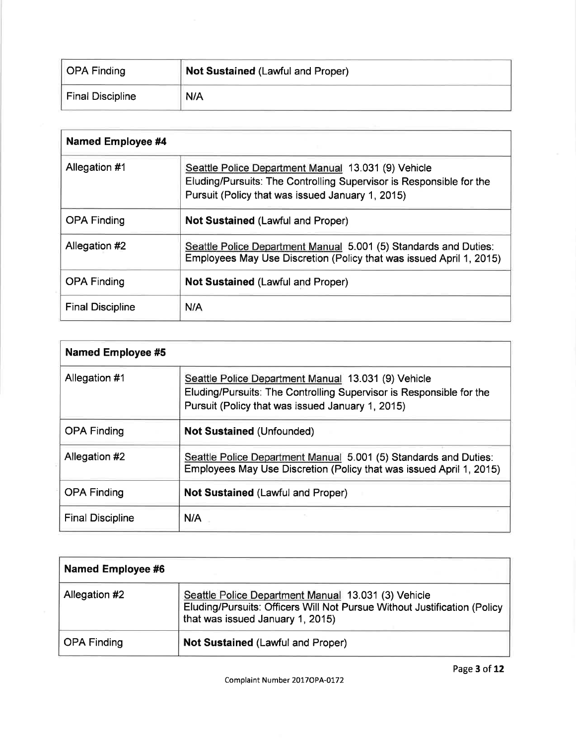| OPA Finding             | <b>Not Sustained (Lawful and Proper)</b> |
|-------------------------|------------------------------------------|
| <b>Final Discipline</b> | N/A                                      |

| <b>Named Employee #4</b> |                                                                                                                                                                                |  |
|--------------------------|--------------------------------------------------------------------------------------------------------------------------------------------------------------------------------|--|
| Allegation #1            | Seattle Police Department Manual 13.031 (9) Vehicle<br>Eluding/Pursuits: The Controlling Supervisor is Responsible for the<br>Pursuit (Policy that was issued January 1, 2015) |  |
| <b>OPA Finding</b>       | <b>Not Sustained (Lawful and Proper)</b>                                                                                                                                       |  |
| Allegation #2            | Seattle Police Department Manual 5.001 (5) Standards and Duties:<br>Employees May Use Discretion (Policy that was issued April 1, 2015)                                        |  |
| <b>OPA Finding</b>       | <b>Not Sustained (Lawful and Proper)</b>                                                                                                                                       |  |
| <b>Final Discipline</b>  | N/A                                                                                                                                                                            |  |

| <b>Named Employee #5</b> |                                                                                                                                                                                |
|--------------------------|--------------------------------------------------------------------------------------------------------------------------------------------------------------------------------|
| Allegation #1            | Seattle Police Department Manual 13.031 (9) Vehicle<br>Eluding/Pursuits: The Controlling Supervisor is Responsible for the<br>Pursuit (Policy that was issued January 1, 2015) |
| <b>OPA Finding</b>       | <b>Not Sustained (Unfounded)</b>                                                                                                                                               |
| Allegation #2            | Seattle Police Department Manual 5.001 (5) Standards and Duties:<br>Employees May Use Discretion (Policy that was issued April 1, 2015)                                        |
| <b>OPA Finding</b>       | <b>Not Sustained (Lawful and Proper)</b>                                                                                                                                       |
| <b>Final Discipline</b>  | N/A                                                                                                                                                                            |

| <b>Named Employee #6</b> |                                                                                                                                                                     |
|--------------------------|---------------------------------------------------------------------------------------------------------------------------------------------------------------------|
| Allegation #2            | Seattle Police Department Manual 13.031 (3) Vehicle<br>Eluding/Pursuits: Officers Will Not Pursue Without Justification (Policy<br>that was issued January 1, 2015) |
| OPA Finding              | <b>Not Sustained (Lawful and Proper)</b>                                                                                                                            |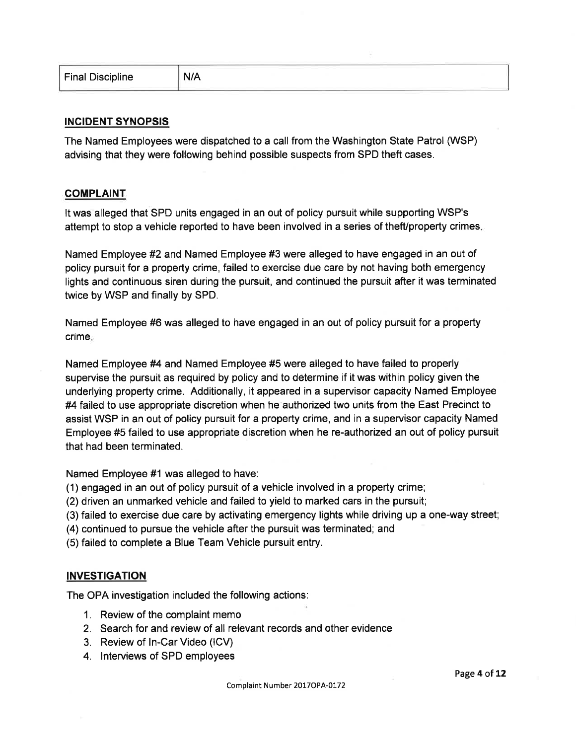| <b>Final Discipline</b> | _____<br>--- |  |
|-------------------------|--------------|--|
|                         |              |  |

## INGIDENT SYNOPSIS

The Named Employees were dispatched to a call from the Washington State Patrol (WSP) advising that they were following behind possible suspects from SPD theft cases.

## COMPLAINT

It was alleged that SPD units engaged in an out of policy pursuit while supporting WSP's attempt to stop a vehicle reported to have been involved in a series of theft/property crimes.

Named Employee #2 and Named Employee #3 were alleged to have engaged in an out of policy pursuit for a property crime, failed to exercise due care by not having both emergency lights and continuous siren during the pursuit, and continued the pursuit after it was terminated twice by WSP and finally by SPD.

Named Employee #6 was alleged to have engaged in an out of policy pursuit for a property crime.

Named Employee #4 and Named Employee #5 were alleged to have failed to properly supervise the pursuit as required by policy and to determine if it was within policy given the underlying property crime. Additionally, it appeared in a supervisor capacity Named Employee #4 failed to use appropriate discretion when he authorized two units from the East Precinct to assist WSP in an out of policy pursuit for a property crime, and in a supervisor capacity Named Employee #5 failed to use appropriate discretion when he re-authorized an out of policy pursuit that had been terminated.

Named Employee #1 was alleged to have:

(1) engaged in an out of policy pursuit of a vehicle involved in a property crime;

(2) driven an unmarked vehicle and failed to yield to marked cars in the pursuit;

- (3) failed to exercise due care by activating emergency lights while driving up a one-way street;
- (4) continued to pursue the vehicle after the pursuit was terminated; and

(5) failed to complete a Blue Team Vehicle pursuit entry.

## INVESTIGATION

The OPA investigation included the following actions:

- 1. Review of the complaint memo
- 2. Search for and review of all relevant records and other evidence
- 3. Review of ln-Car Video (lCV)
- 4. lnterviews of SPD employees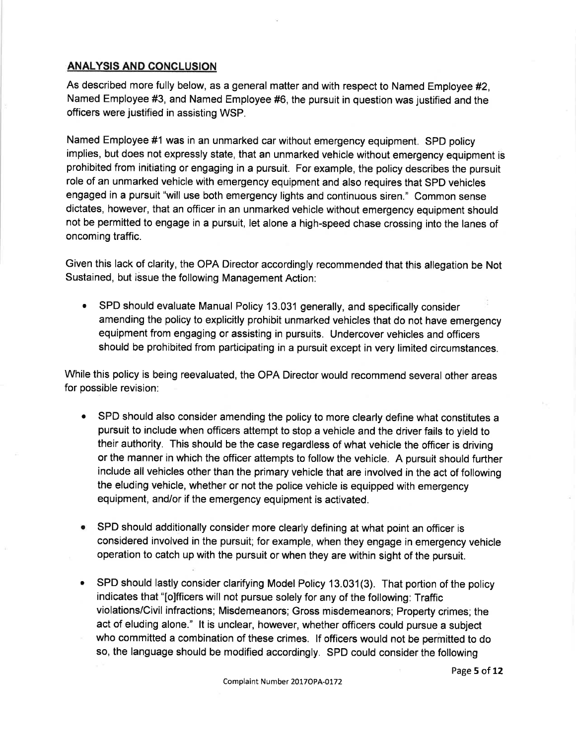## ANALYSIS AND CONCLUSION

As described more fully below, as a general matter and with respect to Named Employee #2, Named Employee #3, and Named Employee #6, the pursuit in question was justified and the officers were justified in assisting WSP.

Named Employee #1 was in an unmarked car without emergency equipment. SPD policy implies, but does not expressly state, that an unmarked vehicle without emergency equipment is prohibited from initiating or engaging in a pursuit. For example, the policy describes the pursuit role of an unmarked vehicle with emergency equipment and also requires that SPD vehicles engaged in a pursuit "will use both emergency lights and continuous siren." Common sense dictates, however, that an officer in an unmarked vehicle without emergency equipment should not be permitted to engage in a pursuit, let alone a high-speed chase crossing into the lanes of oncoming traffic.

Given this lack of clarity, the OPA Director accordingly recommended that this allegation be Not Sustained, but issue the following Management Action:

SPD should evaluate Manual Policy 13.031 generally, and specifically consider amending the policy to explicitly prohibit unmarked vehicles that do not have emergency equipment from engaging or assisting in pursuits. Undercover vehicles and officers should be prohibited from participating in a pursuit except in very limited circumstances.  $\bullet$ 

While this policy is being reevaluated, the OPA Director would recommend several other areas for possible revision:

- SPD should also consider amending the policy to more clearly define what constitutes a pursuit to include when officers attempt to stop a vehicle and the driver fails to yield to their authority. This should be the case regardless of what vehicle the officer is driving or the manner in which the officer attempts to follow the vehicle. A pursuit should further include all vehicles other than the primary vehicle that are involved in the act of following the eluding vehicle, whether or not the police vehicle is equipped with emergency equipment, and/or if the emergency equipment is activated. a
- **SPD should additionally consider more clearly defining at what point an officer is** considered involved in the pursuit; for example, when they engage in emergency vehicle operation to catch up with the pursuit or when they are within sight of the pursuit.
- a SPD should lastly consider clarifying Model Policy 13.031(3). That portion of the policy indicates that "[o]fficers will not pursue solely for any of the following: Traffic violations/Civil infractions; Misdemeanors; Gross misdemeanors; Property crimes; the act of eluding alone." lt is unclear, however, whether officers could pursue a subject who committed a combination of these crimes. lf officers would not be permitted to do so, the language should be modified accordingly. SPD could consider the following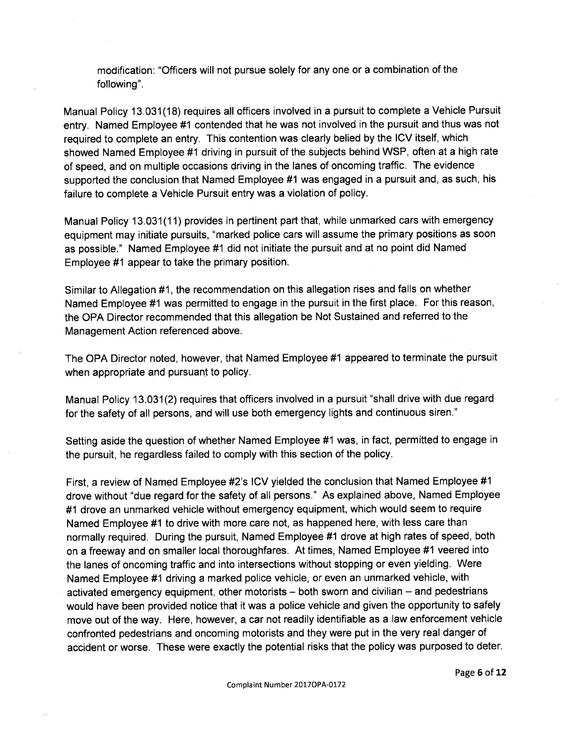modification: "Officers will not pursue solely for any one or a combination of the following".

Manual Policy 13.031(18) requires all officers involved in a pursuit to complete a Vehicle Pursuit entry. Named Employee #1 contended that he was not involved in the pursuit and thus was not required to complete an entry. This contention was clearly belied by the ICV itself, which showed Named Employee #1 driving in pursuit of the subjects behind WSP, often at a high rate of speed, and on multiple occasions driving in the lanes of oncoming traffic. The evidence supported the conclusion that Named Employee #1 was engaged in a pursuit and, as such, his failure to complete a Vehicle Pursuit entry was a violation of policy.

Manual Policy 13.031(11) provides in pertinent part that, while unmarked cars with emergency equipment may initiate pursuits, "marked police cars will assume the primary positions as soon as possible." Named Employee #1 did not initiate the pursuit and at no point did Named Employee #1 appear to take the primary position.

Similar to Allegation #1, the recommendation on this allegation rises and falls on whether Named Employee #1 was permitted to engage in the pursuit in the first place. For this reason, the OPA Director recommended that this allegation be Not Sustained and referred to the Management Action referenced above.

The OPA Director noted, however, that Named Employee #1 appeared to terminate the pursuit when appropriate and pursuant to policy.

Manual Policy 13.031(2) requires that officers involved in a pursuit "shall drive with due regard for the safety of all persons, and will use both emergency lights and continuous siren."

Setting aside the question of whether Named Employee #1 was, in fact, permitted to engage in the pursuit, he regardless failed to comply with this section of the policy.

First, a review of Named Employee #2's ICV yielded the conclusion that Named Employee #1 drove without "due regard for the safety of all persons." As explained above, Named Employee #1 drove an unmarked vehicle without emergency equipment, which would seem to require Named Employee #1 to drive with more care not, as happened here, with less care than normally required. During the pursuit, Named Employee #1 drove at high rates of speed, both on a freeway and on smaller local thoroughfares. At times, Named Employee #1 veered into the lanes of oncoming traffic and into intersections without stopping or even yielding. Were Named Employee #1 driving a marked police vehicle, or even an unmarked vehicle, with activated emergency equipment, other motorists  $-$  both sworn and civilian  $-$  and pedestrians would have been provided notice that it was a police vehicle and given the opportunity to safely move out of the way. Here, however, a car not readily identifiable as a law enforcement vehicle confronted pedestrians and oncoming motorists and they were put in the very real danger of accident or worse. These were exactly the potential risks that the policy was purposed to deter.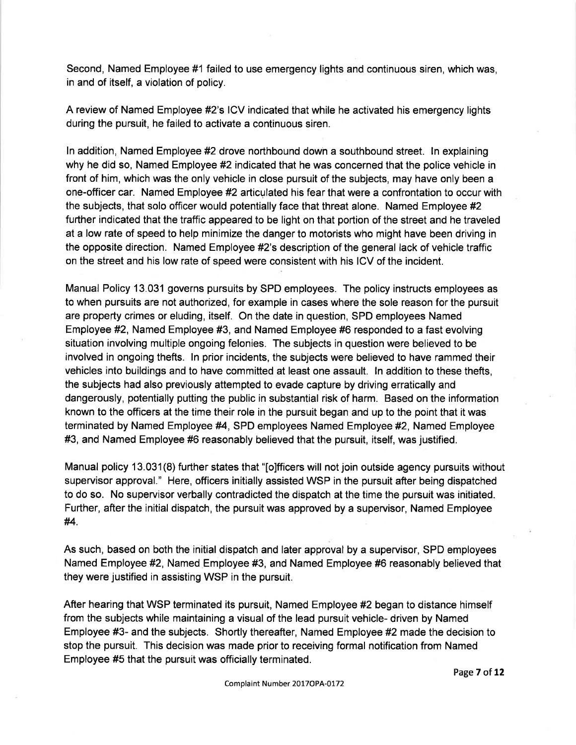Second, Named Employee #1 failed to use emergency lights and continuous siren, which was, in and of itself, a violation of policy.

A review of Named Employee #2's ICV indicated that while he activated his emergency lights during the pursuit, he failed to activate a continuous siren.

ln addition, Named Employee #2 drove northbound dowh a southbound street. ln explaining why he did so, Named Employee #2 indicated that he was concerned that the police vehicle in front of him, which was the only vehicle in close pursuit of the subjects, may have only been a one-officer car. Named Employee #2 articulated his fear that were a confrontation to occur with the subjects, that solo officer would potentially face that threat alone. Named Employee #2 further indicated that the traffic appeared to be light on that portion of the street and he traveled at a low rate of speed to help minimize the danger to motorists who might have been driving in the opposite direction. Named Employee #2's description of the general lack of vehicle traffic on the street and his low rate of speed were consistent with his ICV of the incident.

Manual Policy 13.031 governs pursuits by SPD employees. The policy instructs employees as to when pursuits are not authorized, for example in cases where the sole reason for the pursuit are property crimes or eluding, itself. On the date in question, SPD employees Named Employee #2, Named Employee #3, and Named Employee #6 responded to a fast evolving situation involving multiple ongoing felonies. The subjects in question were believed to be involved in ongoing thefts. ln prior incidents, the subjects were believed to have rammed their vehicles into buildings and to have committed at least one assault. ln addition to these thefts, the subjects had also previously attempted to evade capture by driving erratically and dangerously, potentially putting the public in substantial risk of harm. Based on the information known to the officers at the time their role in the pursuit began and up to the point that it was terminated by Named Employee #4, SPD employees Named Employee #2, Named Employee #3, and Named Employee #6 reasonably believed that the pursuit, itself, was justified.

Manual policy 13.031(8) further states that "[o]fficers will not join outside agency pursuits without supervisor approval." Here, officers initially assisted WSP in the pursuit after being dispatched to do so. No supervisor verbally contradicted the dispatch at the time the pursuit was initiated. Further, after the initial dispatch, the pursuit was approved by a supervisor, Named Employee H.

As such, based on both the initial dispatch and later approval by a supervisor, SPD employees Named Employee #2, Named Employee #3, and Named Employee #6 reasonably believed that they were justified in assisting WSP in the pursuit.

After hearing that WSP terminated its pursuit, Named Employee #2 began to distance himself from the subjects while maintaining a visual of the lead pursuit vehicle- driven by Named Employee #3- and the subjects. Shortly thereafter, Named Employee #2 made the decision to stop the pursuit. This decision was made prior to receiving formal notification from Named Employee #5 that the pursuit was officially terminated.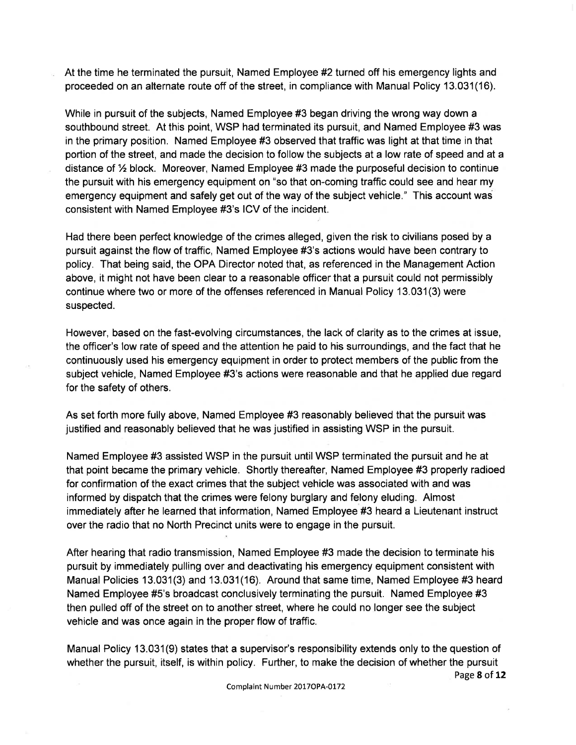At the time he terminated the pursuit, Named Employee #2 turned off his emergency lights and proceeded on an alternate route off of the street, in compliance with Manual Policy 13.031(16).

While in pursuit of the subjects, Named Employee #3 began driving the wrong way down a southbound street. At this point, WSP had terminated its pursuit, and Named Employee #3 was in the primary position. Named Employee #3 observed that traffic was light at that time in that portion of the street, and made the decision to follow the subjects at a low rate of speed and at a distance of  $\frac{1}{2}$  block. Moreover, Named Employee #3 made the purposeful decision to continue the pursuit with his emergency equipment on "so that on-coming traffic could see and hear my emergency equipment and safely get out of the way of the subject vehicle." This account was consistent with Named Employee #3's ICV of the incident.

Had there been perfect knowledge of the crimes alleged, given the risk to civilians posed by a pursuit against the flow of traffic, Named Employee #3's actions would have been contrary to policy. That being said, the OPA Director noted that, as referenced in the Management Action above, it might not have been clear to a reasonable officer that a pursuit could not permissibly continue where two or more of the offenses referenced in Manual Policy 13.031(3) were suspected.

However, based on the fast-evolving circumstances, the lack of clarity as to the crimes at issue, the officer's low rate of speed and the attention he paid to his surroundings, and the fact that he continuously used his emergency equipment in order to protect members of the public from the subject vehicle, Named Employee #3's actions were reasonable and that he applied due regard for the safety of others.

As set forth more fully above, Named Employee #3 reasonably believed that the pursuit was justified and reasonably believed that he was justified in assisting WSP in the pursuit.

Named Employee #3 assisted WSP in the pursuit until WSP terminated the pursuit and he at that point became the primary vehicle. Shortly thereafter, Named Employee #3 properly radioed for confirmation of the exact crimes that the subject vehicle was associated with and was informed by dispatch that the crimes were felony burglary and felony eluding. Almost immediately after he learned that information, Named Employee #3 heard a Lieutenant instruct over the radio that no North Precinct units were to engage in the pursuit.

After hearing that radio transmission, Named Employee #3 made the decision to terminate his pursuit by immediately pulling over and deactivating his emergency equipment consistent with Manual Policies 13.031(3) and 13.031(16). Around that same time, Named Employee #3 heard Named Employee #5's broadcast conclusively terminating the pursuit. Named Employee #3 then pulled off of the street on to another street, where he could no longer see the subject vehicle and was once again in the proper flow of traffic.

Manual Policy 13.031(9) states that a supervisor's responsibility extends only to the question of whether the pursuit, itself, is within policy. Further, to make the decision of whether the pursuit Page 8 of 12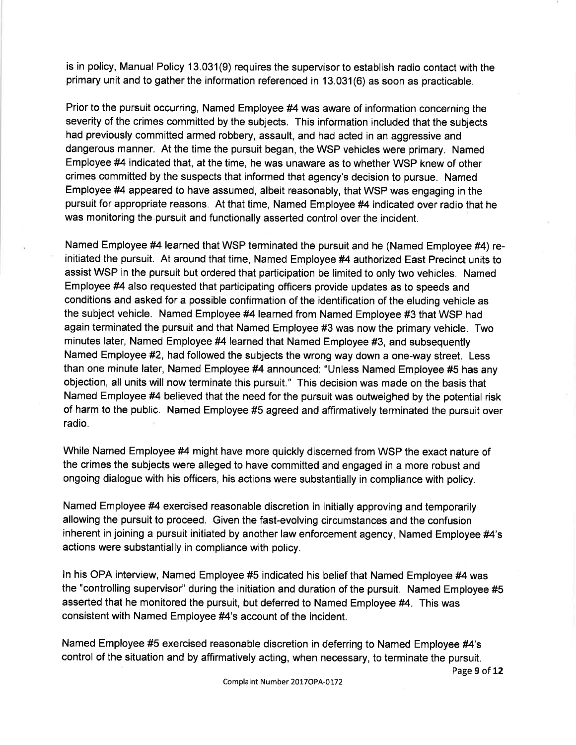is in policy, Manual Policy 13.031(9) requires the supervisor to establish radio contact with the primary unit and to gather the information referenced in 13.031(6) as soon as practicable.

Prior to the pursuit occurring, Named Employee #4 was aware of information concerning the severity of the crimes committed by the subjects. This information included that the subjects had previously committed armed robbery, assault, and had acted in an aggressive and dangerous manner. At the time the pursuit began, the WSP vehicles were primary. Named Employee #4 indicated that, at the time, he was unaware as to whether WSP knew of other crimes committed by the suspects that informed that agency's decision to pursue. Named Employee #4 appeared to have assumed, albeit reasonably, that WSP was engaging in the pursuit for appropriate reasons. At that time, Named Employee #4 indicated over radio that he was monitoring the pursuit and functionally asserted control over the incident.

Named Employee #4 learned that WSP terminated the pursuit and he (Named Employee #4) reinitiated the pursuit. At around that time, Named Employee #4 authorized East Precinct units to assist WSP in the pursuit but ordered that participation be limited to only two vehicles. Named Employee #4 also requested that participating officers provide updates as to speeds and conditions and asked for a possible confirmation of the identification of the eluding vehicle as the subject vehicle. Named Employee #4 learned from Named Employee #3 that WSP had again terminated the pursuit and that Named Employee #3 was now the primary vehicle. Two minutes later, Named Employee #4 learned that Named Employee #3, and subsequently Named Employee #2, had followed the subjects the wrong way down a one-way street. Less than one minute later, Named Employee #4 announced: "Unless Named Employee #5 has any objection, all units will now terminate this pursuit." This decision was made on the basis that Named Employee #4 believed that the need for the pursuit was outweighed by the potential risk of harm to the public. Named Employee #5 agreed and affirmatively terminated the pursuit over radio.

While Named Employee #4 might have more quickly discerned from WSP the exact nature of the crimes the subjects were alleged to have committed and engaged in a more robust and ongoing dialogue with his officers, his actions were substantially in compliance with policy.

Named Employee #4 exercised reasonable discretion in initially approving and temporarily allowing the pursuit to proceed. Given the fast-evolving circumstances and the confusion inherent in joining a pursuit initiated by another law enforcement agency, Named Employee #4's actions were substantially in compliance with policy.

ln his OPA interview, Named Employee #5 indicated his belief that Named Employee #4 was the "controlling supervisor" during the initiation and duration of the pursuit. Named Employee #5 asserted that he monitored the pursuit, but deferred to Named Employee #4. This was consistent with Named Employee #4's account of the incident.

Named Employee #5 exercised reasonable discretion in deferring to Named Employee #4's control of the situation and by affirmatively acting, when necessary, to terminate the pursuit.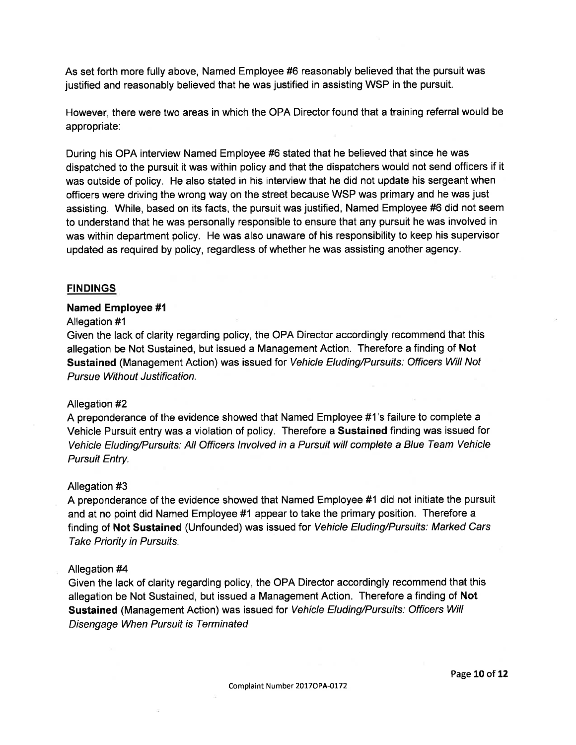As set forth more fully above, Named Employee #6 reasonably believed that the pursuit was justified and reasonably believed that he was justified in assisting WSP in the pursuit.

However, there were two areas in which the OPA Director found that a training referral would be appropriate:

During his OPA interview Named Employee #6 stated that he believed that since he was dispatched to the pursuit it was within policy and that the dispatchers would not send officers if it was outside of policy. He also stated in his interview that he did not update his sergeant when officers were driving the wrong way on the street because WSP was primary and he was just assisting. While, based on its facts, the pursuit was justified, Named Employee #6 did not seem to understand that he was personally responsible to ensure that any pursuit he was involved in was within department policy. He was also unaware of his responsibility to keep his supervisor updated as required by policy, regardless of whether he was assisting another agency.

## FINDINGS

#### Named Employee #1

#### Allegation #1

Given the lack of clarity regarding policy, the OPA Director accordingly recommend that this allegation be Not Sustained, but issued a Management Action. Therefore a finding of Not Sustained (Management Action) was issued for Vehicle Eluding/Pursuits: Officers Will Not Pursue Without Justification.

#### Allegation #2

A preponderance of the evidence showed that Named Employee #1's failure to complete a Vehicle Pursuit entry was a violation of policy. Therefore a Sustained finding was issued for Vehicle Eluding/Pursuifs: AII Officers lnvolved in a Pursuit will complete a Blue Team Vehicle Pursuit Entry.

#### Allegation #3

A preponderance of the evidence showed that Named Employee #1 did not initiate the pursuit and at no point did Named Employee #1 appear to take the primary position. Therefore a finding of Not Sustained (Unfounded) was issued for Vehicle Eluding/Pursuits: Marked Cars Take Priority in Pursuits.

#### Allegation #4

Given the lack of clarity regarding policy, the OPA Director accordingly recommend that this allegation be Not Sustained, but issued a Management Action. Therefore a finding of Not Sustained (Management Action) was issued for Vehicle Eluding/Pursuifs: Officers Will Disengage When Pursuit is Terminated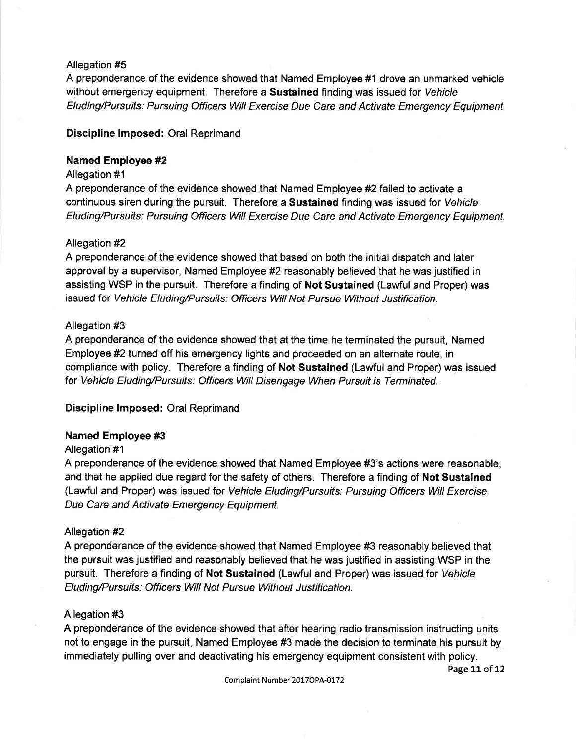## Allegation #5

A preponderance of the evidence showed that Named Employee #1 drove an unmarked vehicle without emergency equipment. Therefore a Sustained finding was issued for Vehicle Eluding/Pursuits: Pursuing Officers Will Exercise Due Care and Activate Emergency Equipment.

## Discipline lmposed: Oral Reprimand

## Named Employee #2

## Allegation #1

A preponderance of the evidence showed that Named Employee #2 failed to activate a continuous siren during the pursuit. Therefore a Sustained finding was issued for Vehicle Eluding/Pursuits: Pursuing Officers Will Exercise Due Care and Activate Emergency Equipment.

## Allegation #2

A preponderance of the evidence showed that based on both the initial dispatch and later approval by a supervisor, Named Employee #2 reasonably believed that he was justified in assisting WSP in the pursuit. Therefore a finding of Not Sustained (Lawful and Proper) was issued for Vehicle Eluding/Pursuifs: Officers Will Not Pursue Without Justification.

## Allegation #3

A preponderance of the evidence showed that at the time he terminated the pursuit, Named Employee #2 turned off his emergency lights and proceeded on an alternate route, in compliance with policy. Therefore a finding of Not Sustained (Lawful and Proper) was issued for Vehicle Eluding/Pursuifs: Officers Will Disengage When Pursuit is Terminated.

## Discipline lmposed: Oral Reprimand

## Named Employee #3

## Allegation #1

A preponderance of the evidence showed that Named Employee #3's actions were reasonable, and that he applied due regard for the safety of others. Therefore a finding of Not Sustained (Lawful and Proper) was issued for Vehicle Eluding/Pursuifs: Pursuing Officers Will Exercise Due Care and Activate Emergency Equipment.

## Allegation #2

A preponderance of the evidence showed that Named Employee #3 reasonably believed that the pursuit was justified and reasonably believed that he was justified in assisting WSP in the pursuit. Therefore a finding of Not Sustained (Lawful and Proper) was issued for Vehicle Eluding/Pursuifs; Officers Will Not Pursue Without Justification.

## Allegation #3

A preponderance of the evidence showed that after hearing radio transmission instructing units not to engage in the pursuit, Named Employee #3 made the decision to terminate his pursuit by immediately pulling over and deactivating his emergency equipment consistent with policy.

Page 11 of 12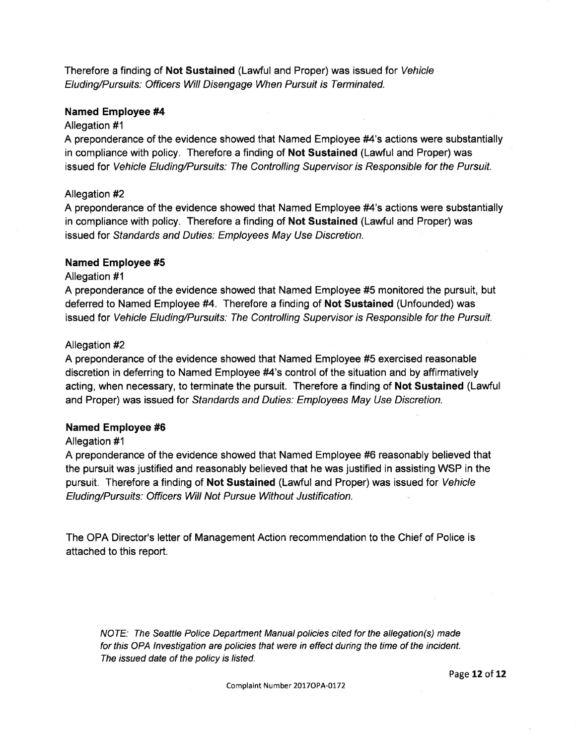Therefore a finding of Not Sustained (Lawful and Proper) was issued for Vehicle Eluding/Pursuifs: Officers Will Disengage When Pursuit is Terminated.

#### Named Employee #4

#### Allegation #1

A preponderance of the evidence showed that Named Employee #4's actions were substantially in compliance with policy. Therefore a finding of Not Sustained (Lawful and Proper) was issued for Vehicle Eluding/Pursuits: The Controlling Supervisor is Responsible for the Pursuit.

#### Allegation #2

A preponderance of the evidence showed that Named Employee #4's actions were substantially in compliance with policy. Therefore a finding of Not Sustained (Lawful and Proper) was issued for Sfandards and Duties: Employees May Use Discretion.

#### Named Employee #5

## Allegation #1

A preponderance of the evidence showed that Named Employee #5 monitored the pursuit, but deferred to Named Employee #4. Therefore a finding of Not Sustained (Unfounded) was issued for Vehicle Eluding/Pursuifs; The Controlling Supervisor is Responsible for the Pursuit.

#### Allegation #2

A preponderance of the evidence showed that Named Employee #5 exercised reasonable discretion in deferring to Named Employee #4's control of the situation and by affirmatively acting, when necessary, to terminate the pursuit. Therefore a finding of Not Sustained (Lawful and Proper) was issued for Sfandards and Duties: Employees May Use Discretion.

## Named Employee #6

## Allegation #1

A preponderance of the evidence showed that Named Employee #6 reasonably believed that the pursuit was justified and reasonably believed that he was justified in assisting WSP in the pursuit. Therefore a finding of Not Sustained (Lawful and Proper) was issued for Vehicle Eluding/Pursuifs: Officers Will Not Pursue Without Justification.

The OPA Director's letter of Management Action recommendation to the Chief of Police is attached to this report.

NOTE: The Seattle Police Department Manual policies cited for the allegation(s) made for this OPA lnvestigation are policies that were in effect during the time of the incident. The issued date of the policy is listed.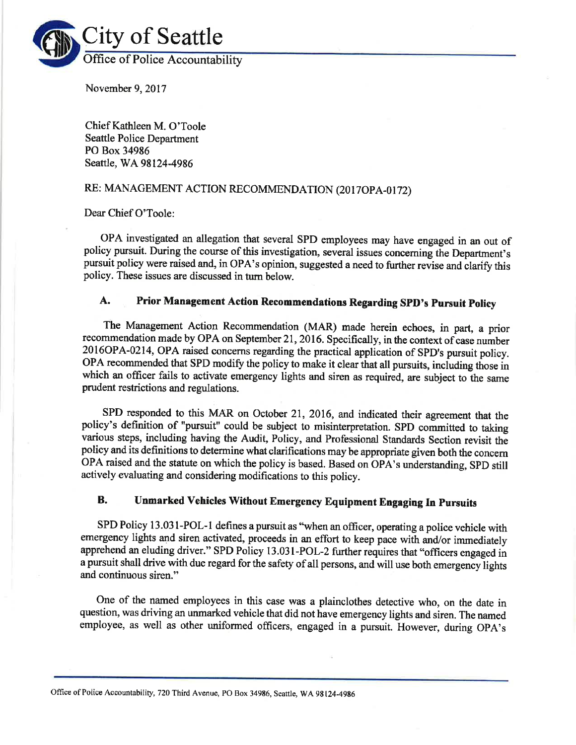

November 9,2017

Chief Kathleen M. O'Toole Seattle Police Department PO Box 34986 Seattle, WA 98124-4986

## RE: MANAGEMENT ACTION RECOMMENDATION (2017OPA-0172)

Dear Chief O'Toole:

OPA investigated an allegation that several SPD employees may have engaged in an out of policy pursuit. During the course of this investigation, several issues conceming the Department's pursuit policy were raised and, in OPA's opinion, suggested a need to further revise and clarify this policy. These issues are discussed in tum below.

# A. Prior Management Action Recommendations Regarding SPD's Pursuit Policy

The Management Action Recommendation (MAR) made herein echoes, in part, a prior recommendation made by OPA on September 21, 2016. Specifically, in the context of case number 20I6OPA-0214, OPA raised concerns regarding the practical application of SPD's pursuit policy. OPA recommended that SPD modify the policy to make it clear that all pursuits, including those in which an officer fails to activate emergency lights and siren as required, are subject to the same prudent restrictions and regulations.

SPD responded to this MAR on October 21, 2016, and indicated their agreement that the policy's definition of "pursuit" could be subject to misinterpretation. SPD committed to taking various steps, including having the Audit, Policy, and Professional Standards Section revisit the policy and its definitions to determine what clarifications may be appropriate given both the concem OPA raised and the statute on which the policy is based. Based on OPA's uuderstanding, SpD still actively evaluating and considering modifications to this policy.

## B. Unmarked Vehicles Without Emergency Equipment Engaging In Pursuits

SPD Policy 13.031-POL-1 defines a pursuit as "when an officer, operating a police vehicle with emergency lights and siren activated, proceeds in an effort to keep pace with and/or immediately apprehend an eluding driver." SPD Policy 13.031-POL-2 further requires that "officers engaged in a pursuit shall drive with due regard for the safety of all persons, and will use both emergency lights and continuous siren."

One of the named employees in this case was a plainclothes detective who, on the date in question, was driving an unmarked vehicle that did not have emergency lights and siren. The named employee, as well as other uniformed officers, engaged in a pursuit. However, during OpA's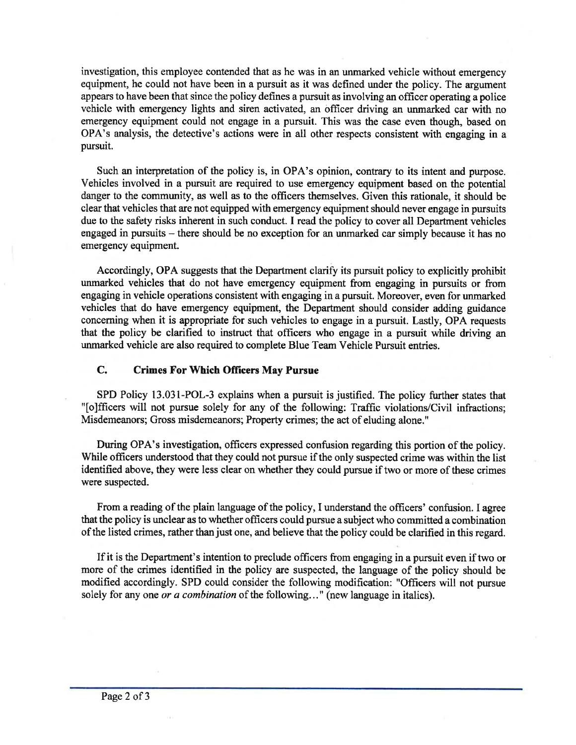investigation, this employee contended that as he was in an unmarked vehicle without emergency equipment, he could not have been in a pursuit as it was defined under the policy. The argument appears to have been that since the policy defines a pursuit as involving an officer operating a police vehicle with emergency lights and siren activated, an officer driving an unmarked car with no emergency equipment could not engage in a pursuit. This was the case even though, based on OPA's analysis, the detective's actions were in all other respects consistent with engaging in <sup>a</sup> pursuit.

Such an interpretation of the policy is, in OPA's opinion, contrary to its intent and purpose. Vehicles involved in a pursuit are required to use emergency equipment based on the potential danger to the community, as well as to the officers themselves. Given this rationale, it should be clear that vehicles that are not equipped with emergency equipment should never engage in pursuits due to the safety risks inherent in such conduct. I read the policy to cover all Department vehicles engaged in pursuits – there should be no exception for an unmarked car simply because it has no emergency equipment.

Accordingly, OPA suggests that the Department clarify its pursuit policy to explicitly prohibit unmarked vehicles that do not have emergency equipment from engaging in pursuits or from engaging in vehicle operations consistent with engaging in a pursuit. Moreover, even for unmarked vehicles that do have emergency equipment, the Department should consider adding guidance concerning when it is appropriate for such vehicles to engage in a pursuit. Lastly, OPA requests that the policy be clarified to instruct that officers who engage in a pursuit while driving an unmarked vehicle are also required to complete Blue Team Vehicle Pursuit entries.

## C. Crimes For Which Officers May Pursue

SPD Policy 13.031-POL-3 explains when a pursuit is justified. The policy further states that "[o]fficers will not pursue solely for any of the following: Traffic violations/Civil infractions; Misdemeanors; Gross misdemeanors; Property crimes; the act of eluding alone."

During OPA's investigation, officers expressed confusion regarding this portion of the policy. While officers understood that they could not pursue if the only suspected crime was within the list identified above, they were less clear on whether they could pursue if two or more of these crimes were suspected.

From a reading of the plain language of the policy, I understand the officers' confusion. I agree that the policy is unclear as to whether officers could pursue a subject who committed a combination of the listed crimes, rather than just one, and believe that the policy could be clarified in this regard.

If it is the Department's intention to preclude officers from engaging in a pursuit even if two or more of the crimes identified in the policy are suspected, the language of the policy should be modified accordingly. SPD could consider the following modification: "Officers will not pursue solely for any one or a combination of the following..." (new language in italics).